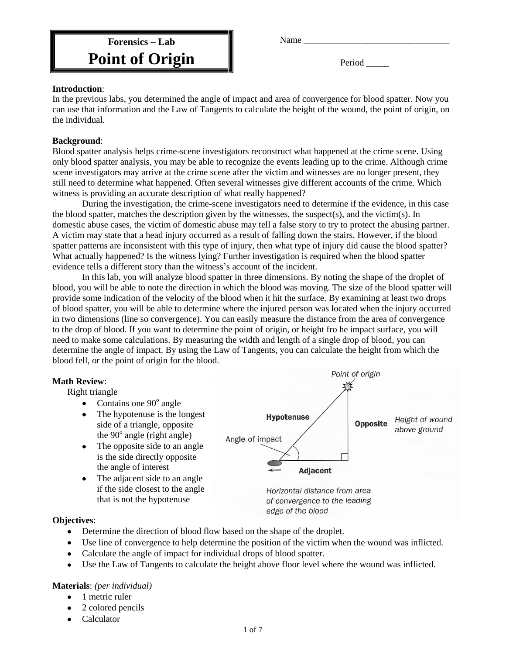# **Point of Origin**  $\parallel$  **Period**

**Forensics** – **Lab**  $\parallel$  Name

## **Introduction**:

In the previous labs, you determined the angle of impact and area of convergence for blood spatter. Now you can use that information and the Law of Tangents to calculate the height of the wound, the point of origin, on the individual.

## **Background**:

Blood spatter analysis helps crime-scene investigators reconstruct what happened at the crime scene. Using only blood spatter analysis, you may be able to recognize the events leading up to the crime. Although crime scene investigators may arrive at the crime scene after the victim and witnesses are no longer present, they still need to determine what happened. Often several witnesses give different accounts of the crime. Which witness is providing an accurate description of what really happened?

During the investigation, the crime-scene investigators need to determine if the evidence, in this case the blood spatter, matches the description given by the witnesses, the suspect(s), and the victim(s). In domestic abuse cases, the victim of domestic abuse may tell a false story to try to protect the abusing partner. A victim may state that a head injury occurred as a result of falling down the stairs. However, if the blood spatter patterns are inconsistent with this type of injury, then what type of injury did cause the blood spatter? What actually happened? Is the witness lying? Further investigation is required when the blood spatter evidence tells a different story than the witness's account of the incident.

In this lab, you will analyze blood spatter in three dimensions. By noting the shape of the droplet of blood, you will be able to note the direction in which the blood was moving. The size of the blood spatter will provide some indication of the velocity of the blood when it hit the surface. By examining at least two drops of blood spatter, you will be able to determine where the injured person was located when the injury occurred in two dimensions (line so convergence). You can easily measure the distance from the area of convergence to the drop of blood. If you want to determine the point of origin, or height fro he impact surface, you will need to make some calculations. By measuring the width and length of a single drop of blood, you can determine the angle of impact. By using the Law of Tangents, you can calculate the height from which the blood fell, or the point of origin for the blood.

## **Math Review**:

Right triangle

- Contains one 90° angle
- The hypotenuse is the longest  $\bullet$ side of a triangle, opposite the  $90^\circ$  angle (right angle)
- The opposite side to an angle is the side directly opposite the angle of interest
- The adjacent side to an angle if the side closest to the angle that is not the hypotenuse



Horizontal distance from area of convergence to the leading edge of the blood

## **Objectives**:

- Determine the direction of blood flow based on the shape of the droplet.
- Use line of convergence to help determine the position of the victim when the wound was inflicted.
- Calculate the angle of impact for individual drops of blood spatter.  $\bullet$
- Use the Law of Tangents to calculate the height above floor level where the wound was inflicted.  $\bullet$

## **Materials**: *(per individual)*

- 1 metric ruler
- 2 colored pencils
- Calculator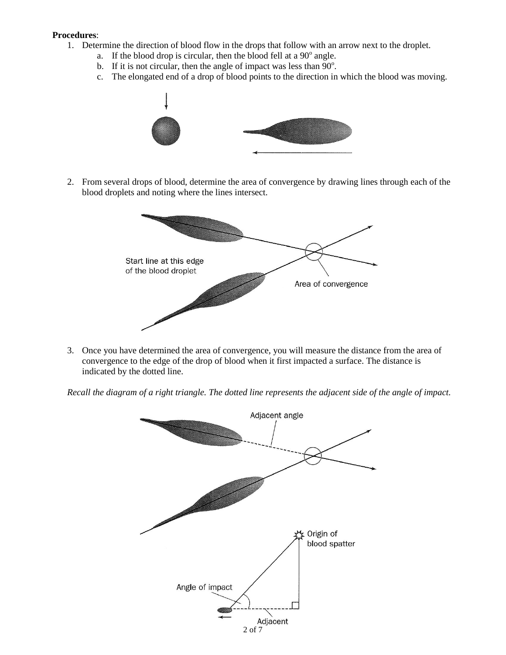### **Procedures**:

- 1. Determine the direction of blood flow in the drops that follow with an arrow next to the droplet.
	- a. If the blood drop is circular, then the blood fell at a  $90^\circ$  angle.
	- b. If it is not circular, then the angle of impact was less than  $90^\circ$ .
	- c. The elongated end of a drop of blood points to the direction in which the blood was moving.



2. From several drops of blood, determine the area of convergence by drawing lines through each of the blood droplets and noting where the lines intersect.



3. Once you have determined the area of convergence, you will measure the distance from the area of convergence to the edge of the drop of blood when it first impacted a surface. The distance is indicated by the dotted line.

*Recall the diagram of a right triangle. The dotted line represents the adjacent side of the angle of impact.*

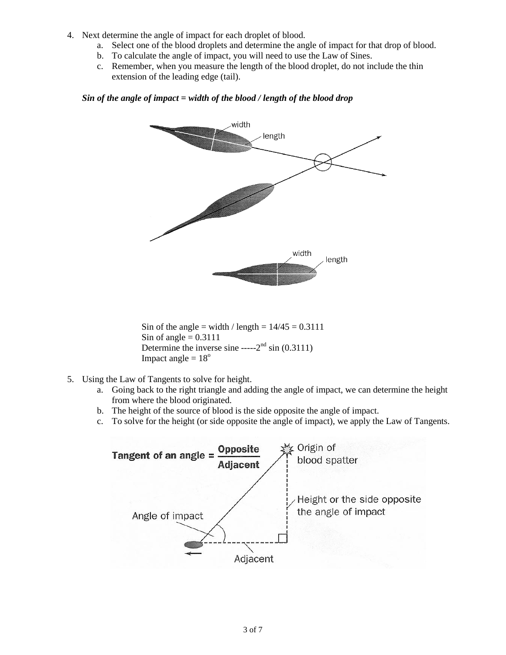- 4. Next determine the angle of impact for each droplet of blood.
	- a. Select one of the blood droplets and determine the angle of impact for that drop of blood.
	- b. To calculate the angle of impact, you will need to use the Law of Sines.
	- c. Remember, when you measure the length of the blood droplet, do not include the thin extension of the leading edge (tail).

#### *Sin of the angle of impact = width of the blood / length of the blood drop*



Sin of the angle = width / length =  $14/45 = 0.3111$ Sin of angle  $= 0.3111$ Determine the inverse sine ----- $2<sup>nd</sup> sin (0.3111)$ Impact angle  $= 18^\circ$ 

- 5. Using the Law of Tangents to solve for height.
	- a. Going back to the right triangle and adding the angle of impact, we can determine the height from where the blood originated.
	- b. The height of the source of blood is the side opposite the angle of impact.
	- c. To solve for the height (or side opposite the angle of impact), we apply the Law of Tangents.

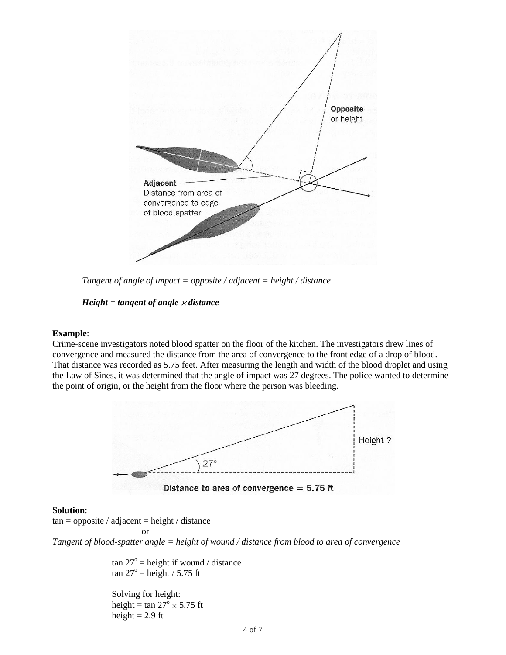

*Tangent of angle of impact = opposite / adjacent = height / distance*

*Height = tangent of angle*  $\times$  *distance* 

#### **Example**:

Crime-scene investigators noted blood spatter on the floor of the kitchen. The investigators drew lines of convergence and measured the distance from the area of convergence to the front edge of a drop of blood. That distance was recorded as 5.75 feet. After measuring the length and width of the blood droplet and using the Law of Sines, it was determined that the angle of impact was 27 degrees. The police wanted to determine the point of origin, or the height from the floor where the person was bleeding.



#### **Solution**:

 $tan = opposite / adjacent = height / distance$ 

or

*Tangent of blood-spatter angle = height of wound / distance from blood to area of convergence*

 $\tan 27^\circ =$  height if wound / distance  $\tan 27^\circ = \text{height} / 5.75 \text{ ft}$ 

Solving for height: height = tan  $27^{\circ} \times 5.75$  ft height  $= 2.9$  ft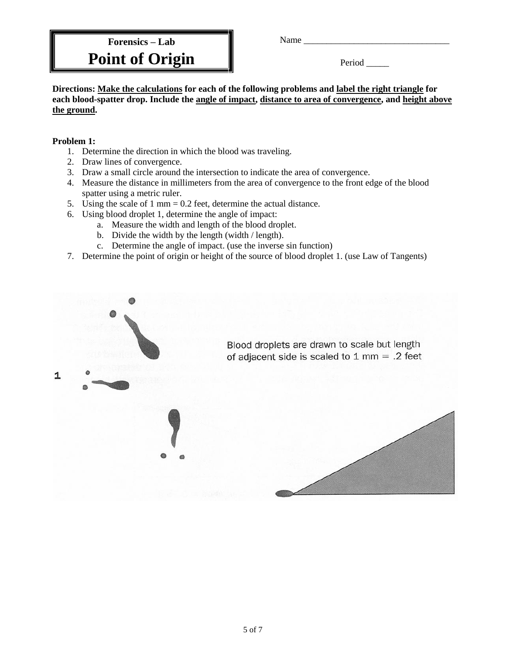**Forensics** – **Lab** Name **Point of Origin**  $\parallel$  **Period Legal** 

**Directions: Make the calculations for each of the following problems and label the right triangle for each blood-spatter drop. Include the angle of impact, distance to area of convergence, and height above the ground.**

## **Problem 1:**

- 1. Determine the direction in which the blood was traveling.
- 2. Draw lines of convergence.
- 3. Draw a small circle around the intersection to indicate the area of convergence.
- 4. Measure the distance in millimeters from the area of convergence to the front edge of the blood spatter using a metric ruler.
- 5. Using the scale of  $1 \text{ mm} = 0.2$  feet, determine the actual distance.
- 6. Using blood droplet 1, determine the angle of impact:
	- a. Measure the width and length of the blood droplet.
	- b. Divide the width by the length (width / length).
	- c. Determine the angle of impact. (use the inverse sin function)
- 7. Determine the point of origin or height of the source of blood droplet 1. (use Law of Tangents)

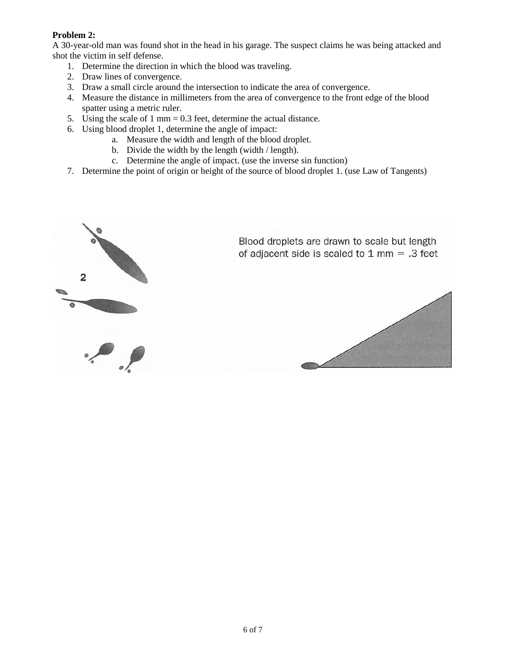## **Problem 2:**

A 30-year-old man was found shot in the head in his garage. The suspect claims he was being attacked and shot the victim in self defense.

- 1. Determine the direction in which the blood was traveling.
- 2. Draw lines of convergence.
- 3. Draw a small circle around the intersection to indicate the area of convergence.
- 4. Measure the distance in millimeters from the area of convergence to the front edge of the blood spatter using a metric ruler.
- 5. Using the scale of 1 mm = 0.3 feet, determine the actual distance.
- 6. Using blood droplet 1, determine the angle of impact:
	- a. Measure the width and length of the blood droplet.
	- b. Divide the width by the length (width / length).
	- c. Determine the angle of impact. (use the inverse sin function)
- 7. Determine the point of origin or height of the source of blood droplet 1. (use Law of Tangents)